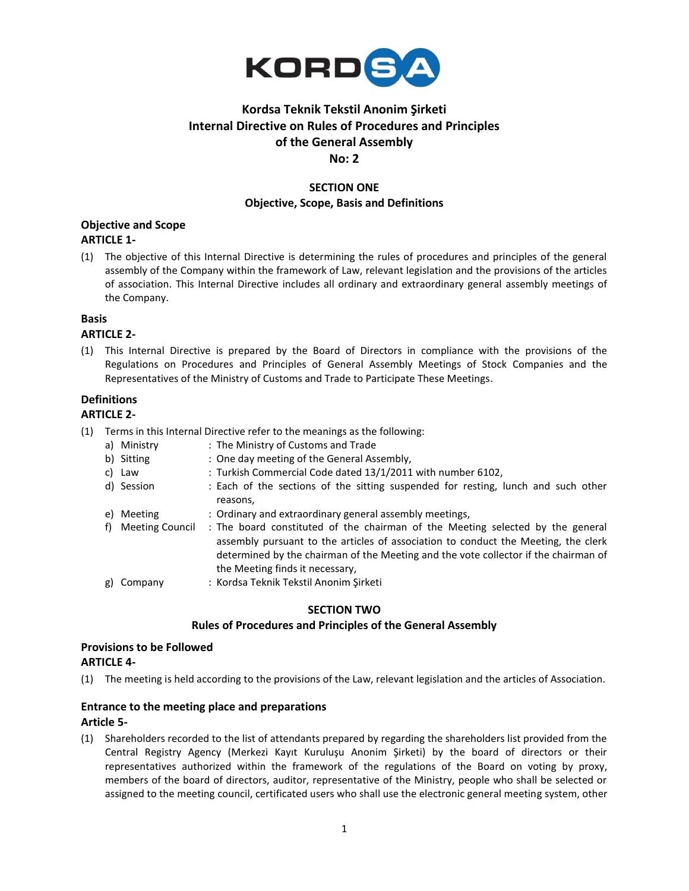

# **Kordsa Teknik Tekstil Anonim Şirketi Internal Directive on Rules of Procedures and Principles of the General Assembly No: 2**

## **SECTION ONE Objective, Scope, Basis and Definitions**

#### **Objective and Scope**

#### **ARTICLE 1-**

(1) The objective of this Internal Directive is determining the rules of procedures and principles of the general assembly of the Company within the framework of Law, relevant legislation and the provisions of the articles of association. This Internal Directive includes all ordinary and extraordinary general assembly meetings of the Company.

#### **Basis**

#### **ARTICLE 2-**

(1) This Internal Directive is prepared by the Board of Directors in compliance with the provisions of the Regulations on Procedures and Principles of General Assembly Meetings of Stock Companies and the Representatives of the Ministry of Customs and Trade to Participate These Meetings.

#### **Definitions**

## **ARTICLE 2-**

- (1) Terms in this Internal Directive refer to the meanings as the following:
	- a) Ministry : The Ministry of Customs and Trade
	- b) Sitting : One day meeting of the General Assembly,
	- c) Law : Turkish Commercial Code dated 13/1/2011 with number 6102,
	- d) Session : Each of the sections of the sitting suspended for resting, lunch and such other reasons,
	- e) Meeting : Ordinary and extraordinary general assembly meetings,
	- f) Meeting Council : The board constituted of the chairman of the Meeting selected by the general assembly pursuant to the articles of association to conduct the Meeting, the clerk determined by the chairman of the Meeting and the vote collector if the chairman of the Meeting finds it necessary,
	- g) Company : Kordsa Teknik Tekstil Anonim Şirketi

#### **SECTION TWO**

#### **Rules of Procedures and Principles of the General Assembly**

#### **Provisions to be Followed ARTICLE 4-**

(1) The meeting is held according to the provisions of the Law, relevant legislation and the articles of Association.

#### **Entrance to the meeting place and preparations Article 5-**

(1) Shareholders recorded to the list of attendants prepared by regarding the shareholders list provided from the Central Registry Agency (Merkezi Kayıt Kuruluşu Anonim Şirketi) by the board of directors or their representatives authorized within the framework of the regulations of the Board on voting by proxy, members of the board of directors, auditor, representative of the Ministry, people who shall be selected or assigned to the meeting council, certificated users who shall use the electronic general meeting system, other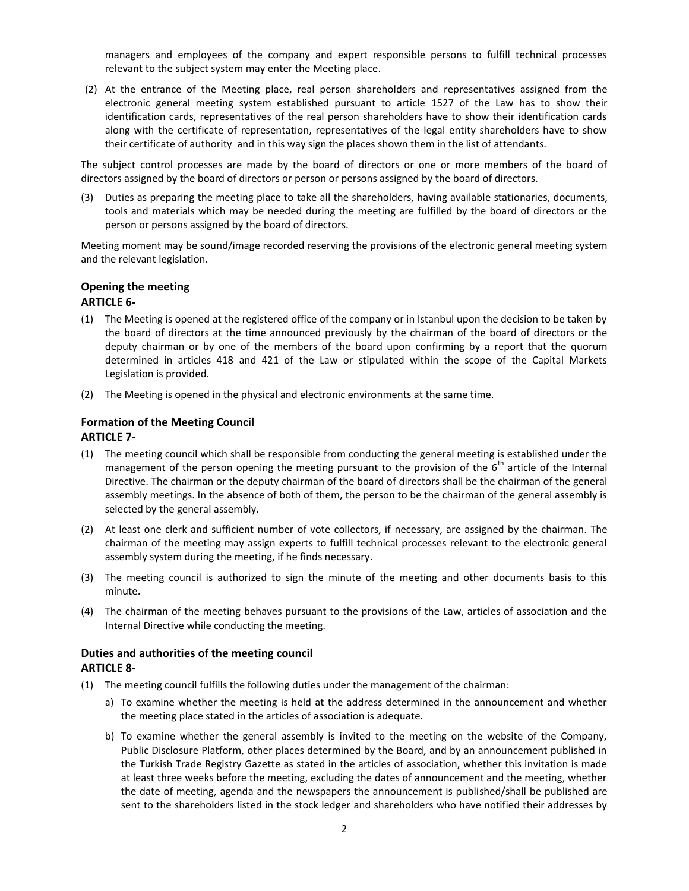managers and employees of the company and expert responsible persons to fulfill technical processes relevant to the subject system may enter the Meeting place.

(2) At the entrance of the Meeting place, real person shareholders and representatives assigned from the electronic general meeting system established pursuant to article 1527 of the Law has to show their identification cards, representatives of the real person shareholders have to show their identification cards along with the certificate of representation, representatives of the legal entity shareholders have to show their certificate of authority and in this way sign the places shown them in the list of attendants.

The subject control processes are made by the board of directors or one or more members of the board of directors assigned by the board of directors or person or persons assigned by the board of directors.

(3) Duties as preparing the meeting place to take all the shareholders, having available stationaries, documents, tools and materials which may be needed during the meeting are fulfilled by the board of directors or the person or persons assigned by the board of directors.

Meeting moment may be sound/image recorded reserving the provisions of the electronic general meeting system and the relevant legislation.

# **Opening the meeting**

#### **ARTICLE 6-**

- (1) The Meeting is opened at the registered office of the company or in Istanbul upon the decision to be taken by the board of directors at the time announced previously by the chairman of the board of directors or the deputy chairman or by one of the members of the board upon confirming by a report that the quorum determined in articles 418 and 421 of the Law or stipulated within the scope of the Capital Markets Legislation is provided.
- (2) The Meeting is opened in the physical and electronic environments at the same time.

# **Formation of the Meeting Council**

#### **ARTICLE 7-**

- (1) The meeting council which shall be responsible from conducting the general meeting is established under the management of the person opening the meeting pursuant to the provision of the 6<sup>th</sup> article of the Internal Directive. The chairman or the deputy chairman of the board of directors shall be the chairman of the general assembly meetings. In the absence of both of them, the person to be the chairman of the general assembly is selected by the general assembly.
- (2) At least one clerk and sufficient number of vote collectors, if necessary, are assigned by the chairman. The chairman of the meeting may assign experts to fulfill technical processes relevant to the electronic general assembly system during the meeting, if he finds necessary.
- (3) The meeting council is authorized to sign the minute of the meeting and other documents basis to this minute.
- (4) The chairman of the meeting behaves pursuant to the provisions of the Law, articles of association and the Internal Directive while conducting the meeting.

#### **Duties and authorities of the meeting council ARTICLE 8-**

- (1) The meeting council fulfills the following duties under the management of the chairman:
	- a) To examine whether the meeting is held at the address determined in the announcement and whether the meeting place stated in the articles of association is adequate.
	- b) To examine whether the general assembly is invited to the meeting on the website of the Company, Public Disclosure Platform, other places determined by the Board, and by an announcement published in the Turkish Trade Registry Gazette as stated in the articles of association, whether this invitation is made at least three weeks before the meeting, excluding the dates of announcement and the meeting, whether the date of meeting, agenda and the newspapers the announcement is published/shall be published are sent to the shareholders listed in the stock ledger and shareholders who have notified their addresses by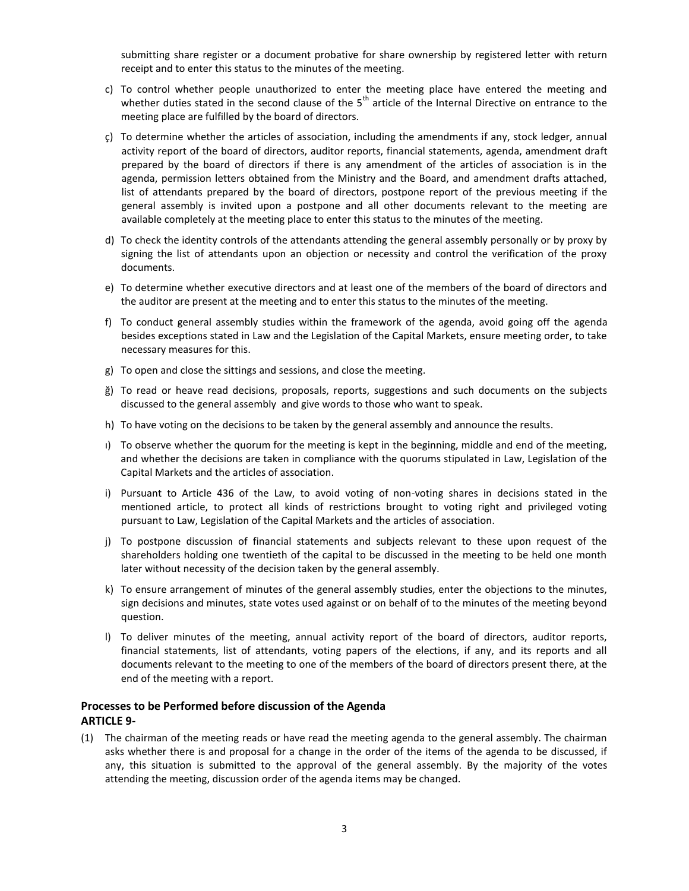submitting share register or a document probative for share ownership by registered letter with return receipt and to enter this status to the minutes of the meeting.

- c) To control whether people unauthorized to enter the meeting place have entered the meeting and whether duties stated in the second clause of the  $5<sup>th</sup>$  article of the Internal Directive on entrance to the meeting place are fulfilled by the board of directors.
- ç) To determine whether the articles of association, including the amendments if any, stock ledger, annual activity report of the board of directors, auditor reports, financial statements, agenda, amendment draft prepared by the board of directors if there is any amendment of the articles of association is in the agenda, permission letters obtained from the Ministry and the Board, and amendment drafts attached, list of attendants prepared by the board of directors, postpone report of the previous meeting if the general assembly is invited upon a postpone and all other documents relevant to the meeting are available completely at the meeting place to enter this status to the minutes of the meeting.
- d) To check the identity controls of the attendants attending the general assembly personally or by proxy by signing the list of attendants upon an objection or necessity and control the verification of the proxy documents.
- e) To determine whether executive directors and at least one of the members of the board of directors and the auditor are present at the meeting and to enter this status to the minutes of the meeting.
- f) To conduct general assembly studies within the framework of the agenda, avoid going off the agenda besides exceptions stated in Law and the Legislation of the Capital Markets, ensure meeting order, to take necessary measures for this.
- g) To open and close the sittings and sessions, and close the meeting.
- ğ) To read or heave read decisions, proposals, reports, suggestions and such documents on the subjects discussed to the general assembly and give words to those who want to speak.
- h) To have voting on the decisions to be taken by the general assembly and announce the results.
- ı) To observe whether the quorum for the meeting is kept in the beginning, middle and end of the meeting, and whether the decisions are taken in compliance with the quorums stipulated in Law, Legislation of the Capital Markets and the articles of association.
- i) Pursuant to Article 436 of the Law, to avoid voting of non-voting shares in decisions stated in the mentioned article, to protect all kinds of restrictions brought to voting right and privileged voting pursuant to Law, Legislation of the Capital Markets and the articles of association.
- j) To postpone discussion of financial statements and subjects relevant to these upon request of the shareholders holding one twentieth of the capital to be discussed in the meeting to be held one month later without necessity of the decision taken by the general assembly.
- k) To ensure arrangement of minutes of the general assembly studies, enter the objections to the minutes, sign decisions and minutes, state votes used against or on behalf of to the minutes of the meeting beyond question.
- l) To deliver minutes of the meeting, annual activity report of the board of directors, auditor reports, financial statements, list of attendants, voting papers of the elections, if any, and its reports and all documents relevant to the meeting to one of the members of the board of directors present there, at the end of the meeting with a report.

#### **Processes to be Performed before discussion of the Agenda ARTICLE 9-**

(1) The chairman of the meeting reads or have read the meeting agenda to the general assembly. The chairman asks whether there is and proposal for a change in the order of the items of the agenda to be discussed, if any, this situation is submitted to the approval of the general assembly. By the majority of the votes attending the meeting, discussion order of the agenda items may be changed.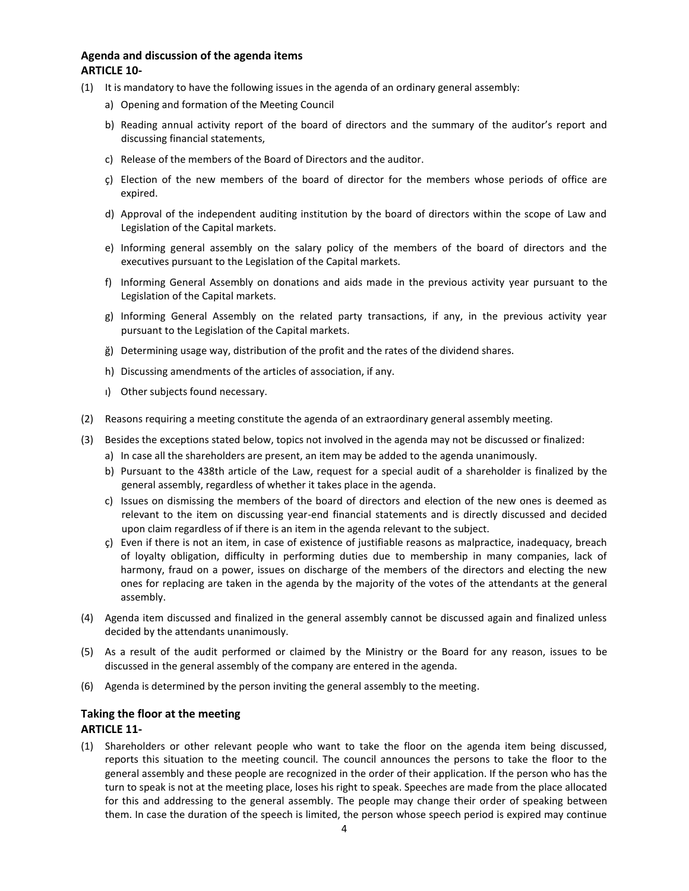#### **Agenda and discussion of the agenda items ARTICLE 10-**

- (1) It is mandatory to have the following issues in the agenda of an ordinary general assembly:
	- a) Opening and formation of the Meeting Council
	- b) Reading annual activity report of the board of directors and the summary of the auditor's report and discussing financial statements,
	- c) Release of the members of the Board of Directors and the auditor.
	- ç) Election of the new members of the board of director for the members whose periods of office are expired.
	- d) Approval of the independent auditing institution by the board of directors within the scope of Law and Legislation of the Capital markets.
	- e) Informing general assembly on the salary policy of the members of the board of directors and the executives pursuant to the Legislation of the Capital markets.
	- f) Informing General Assembly on donations and aids made in the previous activity year pursuant to the Legislation of the Capital markets.
	- g) Informing General Assembly on the related party transactions, if any, in the previous activity year pursuant to the Legislation of the Capital markets.
	- ğ) Determining usage way, distribution of the profit and the rates of the dividend shares.
	- h) Discussing amendments of the articles of association, if any.
	- ı) Other subjects found necessary.
- (2) Reasons requiring a meeting constitute the agenda of an extraordinary general assembly meeting.
- (3) Besides the exceptions stated below, topics not involved in the agenda may not be discussed or finalized:
	- a) In case all the shareholders are present, an item may be added to the agenda unanimously.
	- b) Pursuant to the 438th article of the Law, request for a special audit of a shareholder is finalized by the general assembly, regardless of whether it takes place in the agenda.
	- c) Issues on dismissing the members of the board of directors and election of the new ones is deemed as relevant to the item on discussing year-end financial statements and is directly discussed and decided upon claim regardless of if there is an item in the agenda relevant to the subject.
	- ç) Even if there is not an item, in case of existence of justifiable reasons as malpractice, inadequacy, breach of loyalty obligation, difficulty in performing duties due to membership in many companies, lack of harmony, fraud on a power, issues on discharge of the members of the directors and electing the new ones for replacing are taken in the agenda by the majority of the votes of the attendants at the general assembly.
- (4) Agenda item discussed and finalized in the general assembly cannot be discussed again and finalized unless decided by the attendants unanimously.
- (5) As a result of the audit performed or claimed by the Ministry or the Board for any reason, issues to be discussed in the general assembly of the company are entered in the agenda.
- (6) Agenda is determined by the person inviting the general assembly to the meeting.

#### **Taking the floor at the meeting ARTICLE 11-**

(1) Shareholders or other relevant people who want to take the floor on the agenda item being discussed, reports this situation to the meeting council. The council announces the persons to take the floor to the general assembly and these people are recognized in the order of their application. If the person who has the turn to speak is not at the meeting place, loses his right to speak. Speeches are made from the place allocated for this and addressing to the general assembly. The people may change their order of speaking between them. In case the duration of the speech is limited, the person whose speech period is expired may continue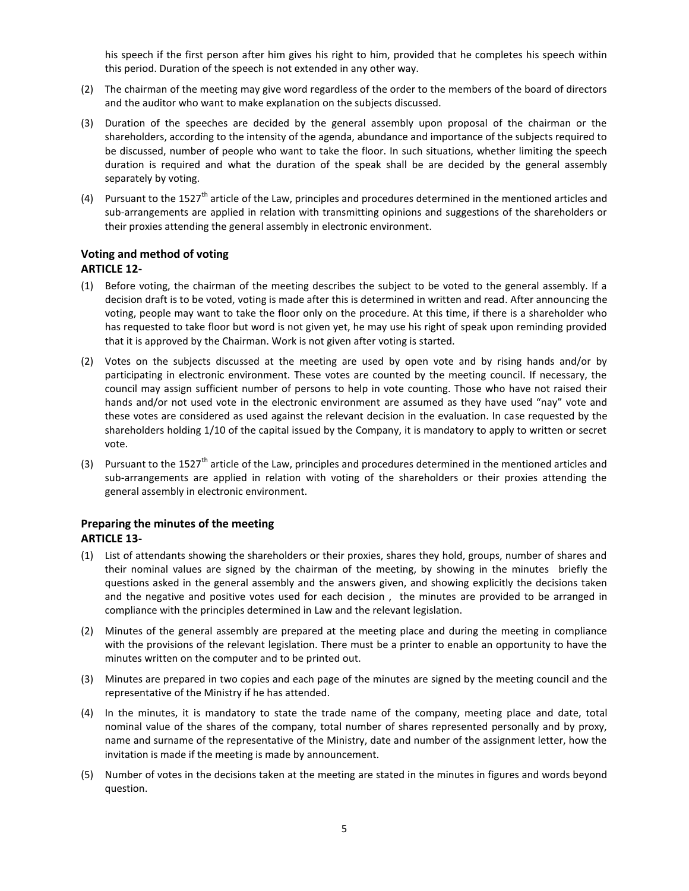his speech if the first person after him gives his right to him, provided that he completes his speech within this period. Duration of the speech is not extended in any other way.

- (2) The chairman of the meeting may give word regardless of the order to the members of the board of directors and the auditor who want to make explanation on the subjects discussed.
- (3) Duration of the speeches are decided by the general assembly upon proposal of the chairman or the shareholders, according to the intensity of the agenda, abundance and importance of the subjects required to be discussed, number of people who want to take the floor. In such situations, whether limiting the speech duration is required and what the duration of the speak shall be are decided by the general assembly separately by voting.
- (4) Pursuant to the 1527<sup>th</sup> article of the Law, principles and procedures determined in the mentioned articles and sub-arrangements are applied in relation with transmitting opinions and suggestions of the shareholders or their proxies attending the general assembly in electronic environment.

### **Voting and method of voting ARTICLE 12-**

- (1) Before voting, the chairman of the meeting describes the subject to be voted to the general assembly. If a decision draft is to be voted, voting is made after this is determined in written and read. After announcing the voting, people may want to take the floor only on the procedure. At this time, if there is a shareholder who has requested to take floor but word is not given yet, he may use his right of speak upon reminding provided that it is approved by the Chairman. Work is not given after voting is started.
- (2) Votes on the subjects discussed at the meeting are used by open vote and by rising hands and/or by participating in electronic environment. These votes are counted by the meeting council. If necessary, the council may assign sufficient number of persons to help in vote counting. Those who have not raised their hands and/or not used vote in the electronic environment are assumed as they have used "nay" vote and these votes are considered as used against the relevant decision in the evaluation. In case requested by the shareholders holding 1/10 of the capital issued by the Company, it is mandatory to apply to written or secret vote.
- (3) Pursuant to the 1527<sup>th</sup> article of the Law, principles and procedures determined in the mentioned articles and sub-arrangements are applied in relation with voting of the shareholders or their proxies attending the general assembly in electronic environment.

# **Preparing the minutes of the meeting**

## **ARTICLE 13-**

- (1) List of attendants showing the shareholders or their proxies, shares they hold, groups, number of shares and their nominal values are signed by the chairman of the meeting, by showing in the minutes briefly the questions asked in the general assembly and the answers given, and showing explicitly the decisions taken and the negative and positive votes used for each decision , the minutes are provided to be arranged in compliance with the principles determined in Law and the relevant legislation.
- (2) Minutes of the general assembly are prepared at the meeting place and during the meeting in compliance with the provisions of the relevant legislation. There must be a printer to enable an opportunity to have the minutes written on the computer and to be printed out.
- (3) Minutes are prepared in two copies and each page of the minutes are signed by the meeting council and the representative of the Ministry if he has attended.
- (4) In the minutes, it is mandatory to state the trade name of the company, meeting place and date, total nominal value of the shares of the company, total number of shares represented personally and by proxy, name and surname of the representative of the Ministry, date and number of the assignment letter, how the invitation is made if the meeting is made by announcement.
- (5) Number of votes in the decisions taken at the meeting are stated in the minutes in figures and words beyond question.